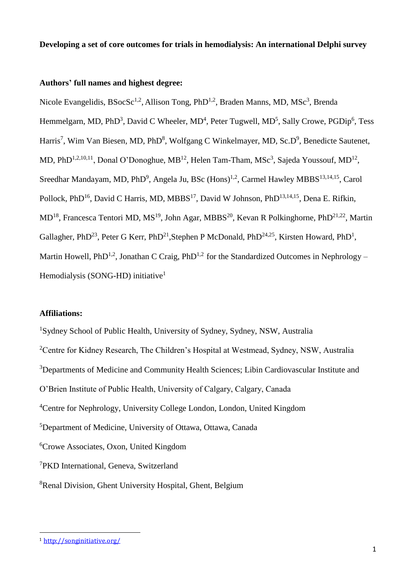**Developing a set of core outcomes for trials in hemodialysis: An international Delphi survey**

# **Authors' full names and highest degree:**

Nicole Evangelidis, BSocSc<sup>1,2</sup>, Allison Tong, PhD<sup>1,2</sup>, Braden Manns, MD, MSc<sup>3</sup>, Brenda Hemmelgarn, MD, PhD<sup>3</sup>, David C Wheeler, MD<sup>4</sup>, Peter Tugwell, MD<sup>5</sup>, Sally Crowe, PGDip<sup>6</sup>, Tess Harris<sup>7</sup>, Wim Van Biesen, MD, PhD<sup>8</sup>, Wolfgang C Winkelmayer, MD, Sc.D<sup>9</sup>, Benedicte Sautenet, MD, PhD<sup>1,2,10,11</sup>, Donal O'Donoghue, MB<sup>12</sup>, Helen Tam-Tham, MSc<sup>3</sup>, Sajeda Youssouf, MD<sup>12</sup>, Sreedhar Mandayam, MD, PhD<sup>9</sup>, Angela Ju, BSc (Hons)<sup>1,2</sup>, Carmel Hawley MBBS<sup>13,14,15</sup>, Carol Pollock, PhD<sup>16</sup>, David C Harris, MD, MBBS<sup>17</sup>, David W Johnson, PhD<sup>13,14,15</sup>, Dena E. Rifkin, MD<sup>18</sup>, Francesca Tentori MD, MS<sup>19</sup>, John Agar, MBBS<sup>20</sup>, Kevan R Polkinghorne, PhD<sup>21,22</sup>, Martin Gallagher, PhD<sup>23</sup>, Peter G Kerr, PhD<sup>21</sup>, Stephen P McDonald, PhD<sup>24,25</sup>, Kirsten Howard, PhD<sup>1</sup>, Martin Howell, PhD<sup>1,2</sup>, Jonathan C Craig, PhD<sup>1,2</sup> for the Standardized Outcomes in Nephrology – Hemodialysis (SONG-HD) initiative<sup>1</sup>

## **Affiliations:**

Sydney School of Public Health, University of Sydney, Sydney, NSW, Australia <sup>2</sup>Centre for Kidney Research, The Children's Hospital at Westmead, Sydney, NSW, Australia <sup>3</sup>Departments of Medicine and Community Health Sciences; Libin Cardiovascular Institute and O'Brien Institute of Public Health, University of Calgary, Calgary, Canada Centre for Nephrology, University College London, London, United Kingdom Department of Medicine, University of Ottawa, Ottawa, Canada Crowe Associates, Oxon, United Kingdom PKD International, Geneva, Switzerland Renal Division, Ghent University Hospital, Ghent, Belgium

1

<sup>1</sup> <http://songinitiative.org/>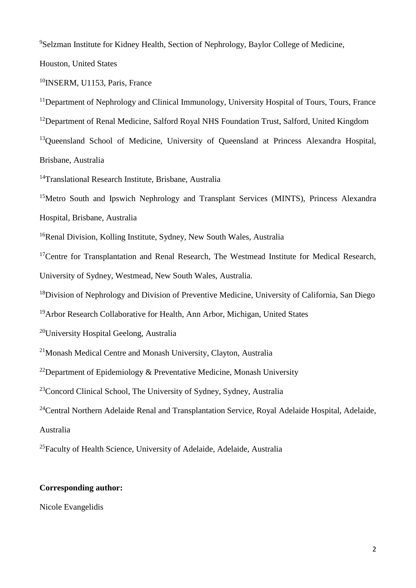<sup>9</sup>Selzman Institute for Kidney Health, Section of Nephrology, Baylor College of Medicine,

Houston, United States

<sup>10</sup>INSERM, U1153, Paris, France

<sup>11</sup>Department of Nephrology and Clinical Immunology, University Hospital of Tours, Tours, France <sup>12</sup>Department of Renal Medicine, Salford Royal NHS Foundation Trust, Salford, United Kingdom <sup>13</sup>Queensland School of Medicine, University of Queensland at Princess Alexandra Hospital, Brisbane, Australia

<sup>14</sup>Translational Research Institute, Brisbane, Australia

<sup>15</sup>Metro South and Ipswich Nephrology and Transplant Services (MINTS), Princess Alexandra Hospital, Brisbane, Australia

<sup>16</sup>Renal Division, Kolling Institute, Sydney, New South Wales, Australia

 $17$ Centre for Transplantation and Renal Research, The Westmead Institute for Medical Research, University of Sydney, Westmead, New South Wales, Australia.

<sup>18</sup>Division of Nephrology and Division of Preventive Medicine, University of California, San Diego

<sup>19</sup>Arbor Research Collaborative for Health, Ann Arbor, Michigan, United States

<sup>20</sup>University Hospital Geelong, Australia

<sup>21</sup>Monash Medical Centre and Monash University, Clayton, Australia

<sup>22</sup>Department of Epidemiology & Preventative Medicine, Monash University

<sup>23</sup>Concord Clinical School, The University of Sydney, Sydney, Australia

<sup>24</sup>Central Northern Adelaide Renal and Transplantation Service, Royal Adelaide Hospital, Adelaide, Australia

<sup>25</sup>Faculty of Health Science, University of Adelaide, Adelaide, Australia

# **Corresponding author:**

Nicole Evangelidis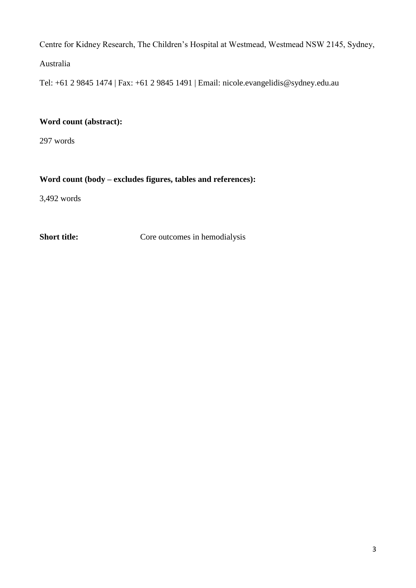Centre for Kidney Research, The Children's Hospital at Westmead, Westmead NSW 2145, Sydney,

Australia

Tel: +61 2 9845 1474 | Fax: +61 2 9845 1491 | Email: nicole.evangelidis@sydney.edu.au

# **Word count (abstract):**

297 words

# **Word count (body – excludes figures, tables and references):**

3,492 words

**Short title:** Core outcomes in hemodialysis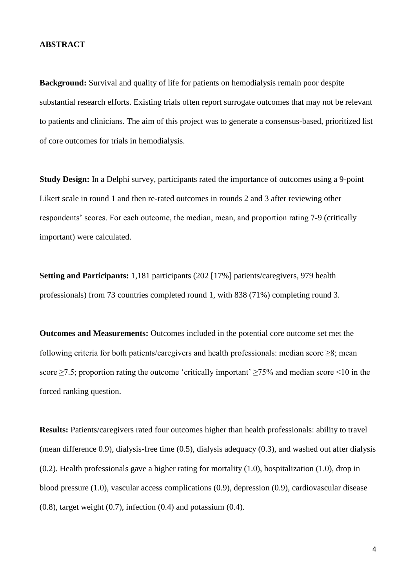### **ABSTRACT**

**Background:** Survival and quality of life for patients on hemodialysis remain poor despite substantial research efforts. Existing trials often report surrogate outcomes that may not be relevant to patients and clinicians. The aim of this project was to generate a consensus-based, prioritized list of core outcomes for trials in hemodialysis.

**Study Design:** In a Delphi survey, participants rated the importance of outcomes using a 9-point Likert scale in round 1 and then re-rated outcomes in rounds 2 and 3 after reviewing other respondents' scores. For each outcome, the median, mean, and proportion rating 7-9 (critically important) were calculated.

**Setting and Participants:** 1,181 participants (202 [17%] patients/caregivers, 979 health professionals) from 73 countries completed round 1, with 838 (71%) completing round 3.

**Outcomes and Measurements:** Outcomes included in the potential core outcome set met the following criteria for both patients/caregivers and health professionals: median score ≥8; mean score  $\geq$ 7.5; proportion rating the outcome 'critically important'  $\geq$ 75% and median score <10 in the forced ranking question.

**Results:** Patients/caregivers rated four outcomes higher than health professionals: ability to travel (mean difference 0.9), dialysis-free time (0.5), dialysis adequacy (0.3), and washed out after dialysis (0.2). Health professionals gave a higher rating for mortality (1.0), hospitalization (1.0), drop in blood pressure (1.0), vascular access complications (0.9), depression (0.9), cardiovascular disease  $(0.8)$ , target weight  $(0.7)$ , infection  $(0.4)$  and potassium  $(0.4)$ .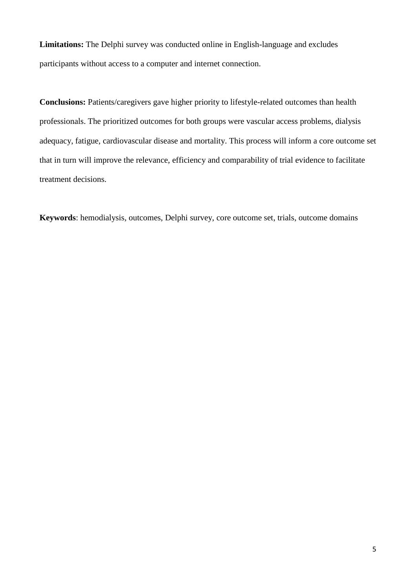**Limitations:** The Delphi survey was conducted online in English-language and excludes participants without access to a computer and internet connection.

**Conclusions:** Patients/caregivers gave higher priority to lifestyle-related outcomes than health professionals. The prioritized outcomes for both groups were vascular access problems, dialysis adequacy, fatigue, cardiovascular disease and mortality. This process will inform a core outcome set that in turn will improve the relevance, efficiency and comparability of trial evidence to facilitate treatment decisions.

**Keywords**: hemodialysis, outcomes, Delphi survey, core outcome set, trials, outcome domains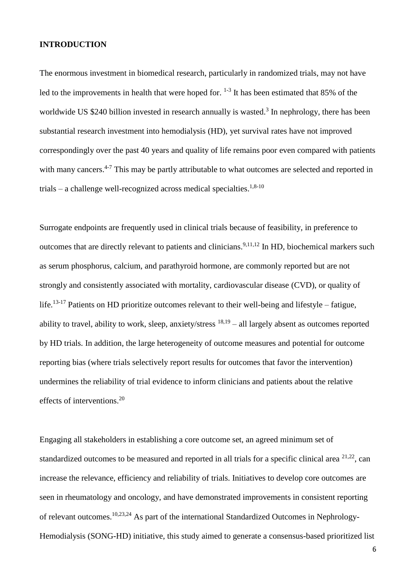### **INTRODUCTION**

The enormous investment in biomedical research, particularly in randomized trials, may not have led to the improvements in health that were hoped for.  $1-3$  It has been estimated that 85% of the worldwide US \$240 billion invested in research annually is wasted.<sup>[3](#page-20-1)</sup> In nephrology, there has been substantial research investment into hemodialysis (HD), yet survival rates have not improved correspondingly over the past 40 years and quality of life remains poor even compared with patients with many cancers.<sup>[4-7](#page-20-2)</sup> This may be partly attributable to what outcomes are selected and reported in trials – a challenge well-recognized across medical specialties.<sup>[1](#page-20-0)[,8-10](#page-20-3)</sup>

Surrogate endpoints are frequently used in clinical trials because of feasibility, in preference to outcomes that are directly relevant to patients and clinicians.<sup>[9,](#page-20-4)[11,](#page-21-0)[12](#page-21-1)</sup> In HD, biochemical markers such as serum phosphorus, calcium, and parathyroid hormone, are commonly reported but are not strongly and consistently associated with mortality, cardiovascular disease (CVD), or quality of life.<sup>[13-17](#page-21-2)</sup> Patients on HD prioritize outcomes relevant to their well-being and lifestyle – fatigue, ability to travel, ability to work, sleep, anxiety/stress  $18,19$  $18,19$  – all largely absent as outcomes reported by HD trials. In addition, the large heterogeneity of outcome measures and potential for outcome reporting bias (where trials selectively report results for outcomes that favor the intervention) undermines the reliability of trial evidence to inform clinicians and patients about the relative effects of interventions. [20](#page-21-5)

Engaging all stakeholders in establishing a core outcome set, an agreed minimum set of standardized outcomes to be measured and reported in all trials for a specific clinical area  $21,22$  $21,22$ , can increase the relevance, efficiency and reliability of trials. Initiatives to develop core outcomes are seen in rheumatology and oncology, and have demonstrated improvements in consistent reporting of relevant outcomes.<sup>[10,](#page-20-5)[23,](#page-22-1)[24](#page-22-2)</sup> As part of the international Standardized Outcomes in Nephrology-Hemodialysis (SONG-HD) initiative, this study aimed to generate a consensus-based prioritized list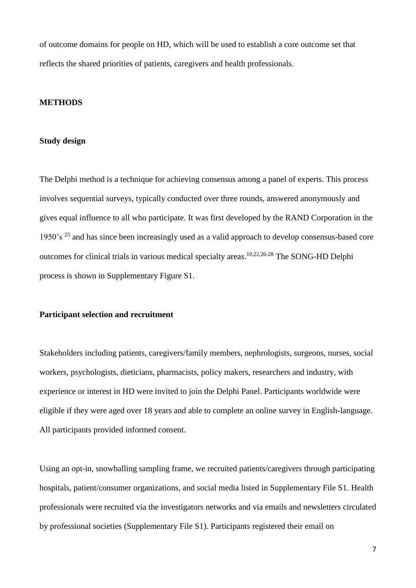of outcome domains for people on HD, which will be used to establish a core outcome set that reflects the shared priorities of patients, caregivers and health professionals.

### **METHODS**

#### **Study design**

The Delphi method is a technique for achieving consensus among a panel of experts. This process involves sequential surveys, typically conducted over three rounds, answered anonymously and gives equal influence to all who participate. It was first developed by the RAND Corporation in the 1950's  $^{25}$  $^{25}$  $^{25}$  and has since been increasingly used as a valid approach to develop consensus-based core outcomes for clinical trials in various medical specialty areas. [10](#page-20-5)[,22,](#page-22-0)[26-28](#page-22-4) The SONG-HD Delphi process is shown in Supplementary Figure S1.

### **Participant selection and recruitment**

Stakeholders including patients, caregivers/family members, nephrologists, surgeons, nurses, social workers, psychologists, dieticians, pharmacists, policy makers, researchers and industry, with experience or interest in HD were invited to join the Delphi Panel. Participants worldwide were eligible if they were aged over 18 years and able to complete an online survey in English-language. All participants provided informed consent.

Using an opt-in, snowballing sampling frame, we recruited patients/caregivers through participating hospitals, patient/consumer organizations, and social media listed in Supplementary File S1. Health professionals were recruited via the investigators networks and via emails and newsletters circulated by professional societies (Supplementary File S1). Participants registered their email on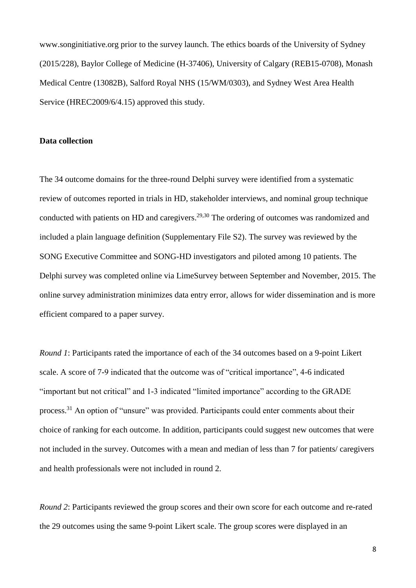www.songinitiative.org prior to the survey launch. The ethics boards of the University of Sydney (2015/228), Baylor College of Medicine (H-37406), University of Calgary (REB15-0708), Monash Medical Centre (13082B), Salford Royal NHS (15/WM/0303), and Sydney West Area Health Service (HREC2009/6/4.15) approved this study.

#### **Data collection**

The 34 outcome domains for the three-round Delphi survey were identified from a systematic review of outcomes reported in trials in HD, stakeholder interviews, and nominal group technique conducted with patients on HD and caregivers.<sup>[29,](#page-22-5)[30](#page-22-6)</sup> The ordering of outcomes was randomized and included a plain language definition (Supplementary File S2). The survey was reviewed by the SONG Executive Committee and SONG-HD investigators and piloted among 10 patients. The Delphi survey was completed online via LimeSurvey between September and November, 2015. The online survey administration minimizes data entry error, allows for wider dissemination and is more efficient compared to a paper survey.

*Round 1*: Participants rated the importance of each of the 34 outcomes based on a 9-point Likert scale. A score of 7-9 indicated that the outcome was of "critical importance", 4-6 indicated "important but not critical" and 1-3 indicated "limited importance" according to the GRADE process.<sup>[31](#page-23-0)</sup> An option of "unsure" was provided. Participants could enter comments about their choice of ranking for each outcome. In addition, participants could suggest new outcomes that were not included in the survey. Outcomes with a mean and median of less than 7 for patients/ caregivers and health professionals were not included in round 2.

*Round 2*: Participants reviewed the group scores and their own score for each outcome and re-rated the 29 outcomes using the same 9-point Likert scale. The group scores were displayed in an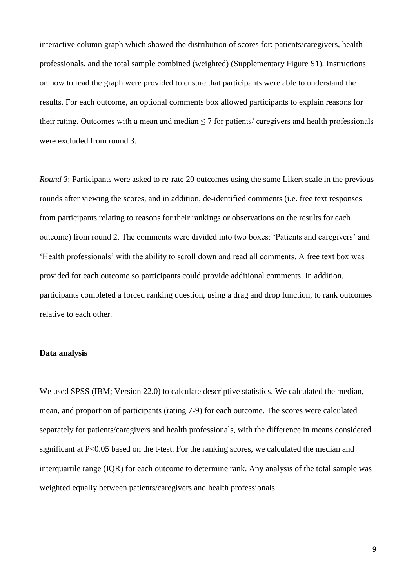interactive column graph which showed the distribution of scores for: patients/caregivers, health professionals, and the total sample combined (weighted) (Supplementary Figure S1). Instructions on how to read the graph were provided to ensure that participants were able to understand the results. For each outcome, an optional comments box allowed participants to explain reasons for their rating. Outcomes with a mean and median ≤ 7 for patients/ caregivers and health professionals were excluded from round 3.

*Round 3*: Participants were asked to re-rate 20 outcomes using the same Likert scale in the previous rounds after viewing the scores, and in addition, de-identified comments (i.e. free text responses from participants relating to reasons for their rankings or observations on the results for each outcome) from round 2. The comments were divided into two boxes: 'Patients and caregivers' and 'Health professionals' with the ability to scroll down and read all comments. A free text box was provided for each outcome so participants could provide additional comments. In addition, participants completed a forced ranking question, using a drag and drop function, to rank outcomes relative to each other.

### **Data analysis**

We used SPSS (IBM; Version 22.0) to calculate descriptive statistics. We calculated the median, mean, and proportion of participants (rating 7-9) for each outcome. The scores were calculated separately for patients/caregivers and health professionals, with the difference in means considered significant at P<0.05 based on the t-test. For the ranking scores, we calculated the median and interquartile range (IQR) for each outcome to determine rank. Any analysis of the total sample was weighted equally between patients/caregivers and health professionals.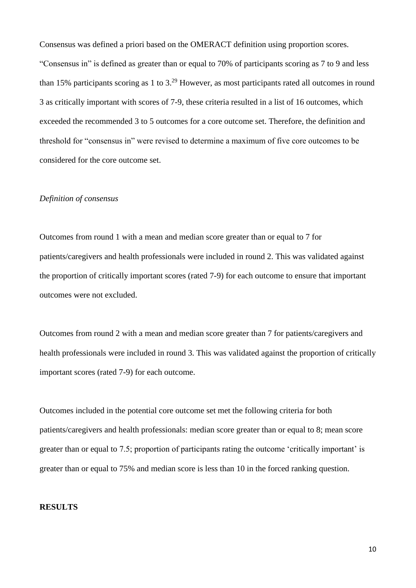Consensus was defined a priori based on the OMERACT definition using proportion scores. "Consensus in" is defined as greater than or equal to 70% of participants scoring as 7 to 9 and less than 15% participants scoring as 1 to  $3.^{29}$  $3.^{29}$  $3.^{29}$  However, as most participants rated all outcomes in round 3 as critically important with scores of 7-9, these criteria resulted in a list of 16 outcomes, which exceeded the recommended 3 to 5 outcomes for a core outcome set. Therefore, the definition and threshold for "consensus in" were revised to determine a maximum of five core outcomes to be considered for the core outcome set.

# *Definition of consensus*

Outcomes from round 1 with a mean and median score greater than or equal to 7 for patients/caregivers and health professionals were included in round 2. This was validated against the proportion of critically important scores (rated 7-9) for each outcome to ensure that important outcomes were not excluded.

Outcomes from round 2 with a mean and median score greater than 7 for patients/caregivers and health professionals were included in round 3. This was validated against the proportion of critically important scores (rated 7-9) for each outcome.

Outcomes included in the potential core outcome set met the following criteria for both patients/caregivers and health professionals: median score greater than or equal to 8; mean score greater than or equal to 7.5; proportion of participants rating the outcome 'critically important' is greater than or equal to 75% and median score is less than 10 in the forced ranking question.

### **RESULTS**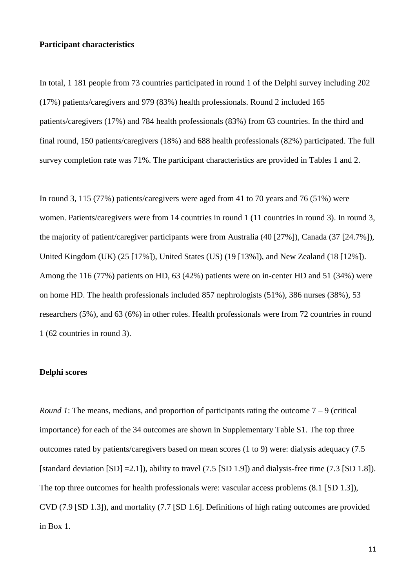### **Participant characteristics**

In total, 1 181 people from 73 countries participated in round 1 of the Delphi survey including 202 (17%) patients/caregivers and 979 (83%) health professionals. Round 2 included 165 patients/caregivers (17%) and 784 health professionals (83%) from 63 countries. In the third and final round, 150 patients/caregivers (18%) and 688 health professionals (82%) participated. The full survey completion rate was 71%. The participant characteristics are provided in Tables 1 and 2.

In round 3, 115 (77%) patients/caregivers were aged from 41 to 70 years and 76 (51%) were women. Patients/caregivers were from 14 countries in round 1 (11 countries in round 3). In round 3, the majority of patient/caregiver participants were from Australia (40 [27%]), Canada (37 [24.7%]), United Kingdom (UK) (25 [17%]), United States (US) (19 [13%]), and New Zealand (18 [12%]). Among the 116 (77%) patients on HD, 63 (42%) patients were on in-center HD and 51 (34%) were on home HD. The health professionals included 857 nephrologists (51%), 386 nurses (38%), 53 researchers (5%), and 63 (6%) in other roles. Health professionals were from 72 countries in round 1 (62 countries in round 3).

# **Delphi scores**

*Round 1*: The means, medians, and proportion of participants rating the outcome  $7 - 9$  (critical) importance) for each of the 34 outcomes are shown in Supplementary Table S1. The top three outcomes rated by patients/caregivers based on mean scores (1 to 9) were: dialysis adequacy (7.5 [standard deviation [SD] =2.1]), ability to travel (7.5 [SD 1.9]) and dialysis-free time (7.3 [SD 1.8]). The top three outcomes for health professionals were: vascular access problems (8.1 [SD 1.3]), CVD (7.9 [SD 1.3]), and mortality (7.7 [SD 1.6]. Definitions of high rating outcomes are provided in Box 1.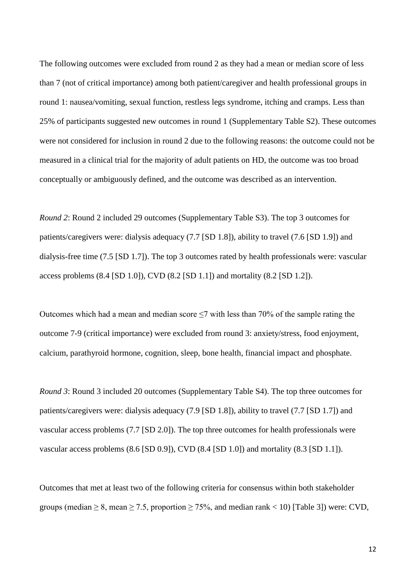The following outcomes were excluded from round 2 as they had a mean or median score of less than 7 (not of critical importance) among both patient/caregiver and health professional groups in round 1: nausea/vomiting, sexual function, restless legs syndrome, itching and cramps. Less than 25% of participants suggested new outcomes in round 1 (Supplementary Table S2). These outcomes were not considered for inclusion in round 2 due to the following reasons: the outcome could not be measured in a clinical trial for the majority of adult patients on HD, the outcome was too broad conceptually or ambiguously defined, and the outcome was described as an intervention.

*Round 2*: Round 2 included 29 outcomes (Supplementary Table S3). The top 3 outcomes for patients/caregivers were: dialysis adequacy (7.7 [SD 1.8]), ability to travel (7.6 [SD 1.9]) and dialysis-free time (7.5 [SD 1.7]). The top 3 outcomes rated by health professionals were: vascular access problems (8.4 [SD 1.0]), CVD (8.2 [SD 1.1]) and mortality (8.2 [SD 1.2]).

Outcomes which had a mean and median score  $\leq$ 7 with less than 70% of the sample rating the outcome 7-9 (critical importance) were excluded from round 3: anxiety/stress, food enjoyment, calcium, parathyroid hormone, cognition, sleep, bone health, financial impact and phosphate.

*Round 3*: Round 3 included 20 outcomes (Supplementary Table S4). The top three outcomes for patients/caregivers were: dialysis adequacy (7.9 [SD 1.8]), ability to travel (7.7 [SD 1.7]) and vascular access problems (7.7 [SD 2.0]). The top three outcomes for health professionals were vascular access problems (8.6 [SD 0.9]), CVD (8.4 [SD 1.0]) and mortality (8.3 [SD 1.1]).

Outcomes that met at least two of the following criteria for consensus within both stakeholder groups (median  $\geq 8$ , mean  $\geq 7.5$ , proportion  $\geq 75\%$ , and median rank < 10) [Table 3]) were: CVD,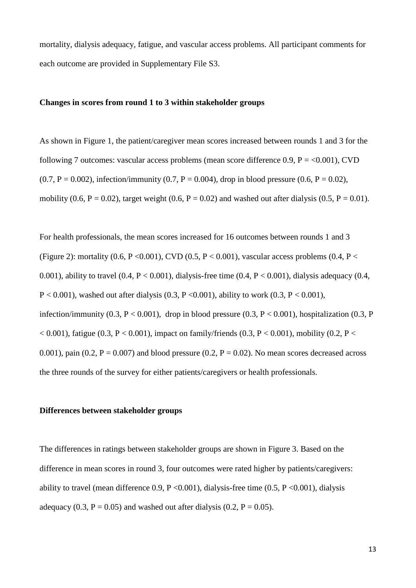mortality, dialysis adequacy, fatigue, and vascular access problems. All participant comments for each outcome are provided in Supplementary File S3.

#### **Changes in scores from round 1 to 3 within stakeholder groups**

As shown in Figure 1, the patient/caregiver mean scores increased between rounds 1 and 3 for the following 7 outcomes: vascular access problems (mean score difference 0.9,  $P = <0.001$ ), CVD  $(0.7, P = 0.002)$ , infection/immunity  $(0.7, P = 0.004)$ , drop in blood pressure  $(0.6, P = 0.02)$ , mobility (0.6, P = 0.02), target weight (0.6, P = 0.02) and washed out after dialysis (0.5, P = 0.01).

For health professionals, the mean scores increased for 16 outcomes between rounds 1 and 3 (Figure 2): mortality (0.6, P < 0.001), CVD (0.5, P < 0.001), vascular access problems (0.4, P < 0.001), ability to travel  $(0.4, P < 0.001)$ , dialysis-free time  $(0.4, P < 0.001)$ , dialysis adequacy  $(0.4, P < 0.001)$ P < 0.001), washed out after dialysis (0.3, P < 0.001), ability to work (0.3, P < 0.001), infection/immunity (0.3, P < 0.001), drop in blood pressure (0.3, P < 0.001), hospitalization (0.3, P  $< 0.001$ ), fatigue (0.3, P  $< 0.001$ ), impact on family/friends (0.3, P  $< 0.001$ ), mobility (0.2, P  $<$ 0.001), pain (0.2,  $P = 0.007$ ) and blood pressure (0.2,  $P = 0.02$ ). No mean scores decreased across the three rounds of the survey for either patients/caregivers or health professionals.

### **Differences between stakeholder groups**

The differences in ratings between stakeholder groups are shown in Figure 3. Based on the difference in mean scores in round 3, four outcomes were rated higher by patients/caregivers: ability to travel (mean difference 0.9,  $P \le 0.001$ ), dialysis-free time (0.5,  $P \le 0.001$ ), dialysis adequacy (0.3,  $P = 0.05$ ) and washed out after dialysis (0.2,  $P = 0.05$ ).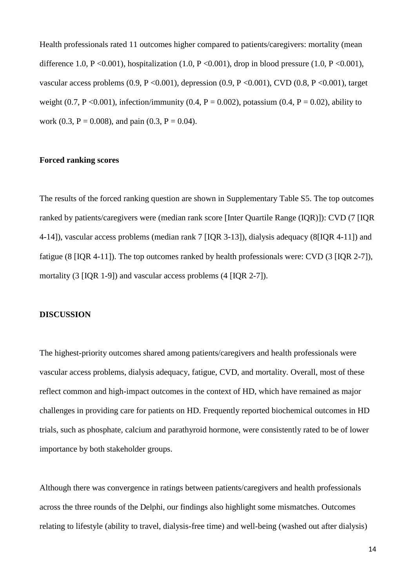Health professionals rated 11 outcomes higher compared to patients/caregivers: mortality (mean difference 1.0, P <0.001), hospitalization (1.0, P <0.001), drop in blood pressure (1.0, P <0.001), vascular access problems  $(0.9, P \le 0.001)$ , depression  $(0.9, P \le 0.001)$ , CVD  $(0.8, P \le 0.001)$ , target weight (0.7, P < 0.001), infection/immunity (0.4, P = 0.002), potassium (0.4, P = 0.02), ability to work (0.3,  $P = 0.008$ ), and pain (0.3,  $P = 0.04$ ).

# **Forced ranking scores**

The results of the forced ranking question are shown in Supplementary Table S5. The top outcomes ranked by patients/caregivers were (median rank score [Inter Quartile Range (IQR)]): CVD (7 [IQR 4-14]), vascular access problems (median rank 7 [IQR 3-13]), dialysis adequacy (8[IQR 4-11]) and fatigue (8 [IQR 4-11]). The top outcomes ranked by health professionals were: CVD (3 [IQR 2-7]), mortality (3 [IQR 1-9]) and vascular access problems (4 [IQR 2-7]).

### **DISCUSSION**

The highest-priority outcomes shared among patients/caregivers and health professionals were vascular access problems, dialysis adequacy, fatigue, CVD, and mortality. Overall, most of these reflect common and high-impact outcomes in the context of HD, which have remained as major challenges in providing care for patients on HD. Frequently reported biochemical outcomes in HD trials, such as phosphate, calcium and parathyroid hormone, were consistently rated to be of lower importance by both stakeholder groups.

Although there was convergence in ratings between patients/caregivers and health professionals across the three rounds of the Delphi, our findings also highlight some mismatches. Outcomes relating to lifestyle (ability to travel, dialysis-free time) and well-being (washed out after dialysis)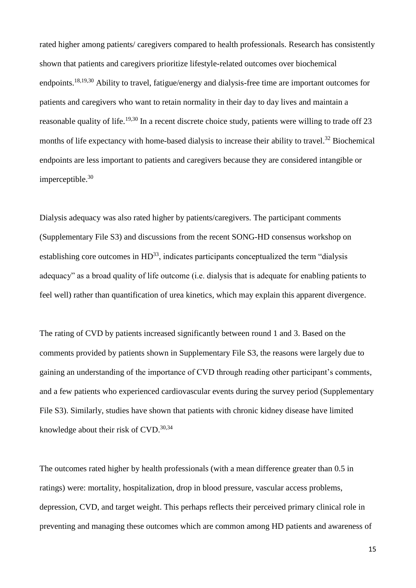rated higher among patients/ caregivers compared to health professionals. Research has consistently shown that patients and caregivers prioritize lifestyle-related outcomes over biochemical endpoints.<sup>[18,](#page-21-3)[19,](#page-21-4)[30](#page-22-6)</sup> Ability to travel, fatigue/energy and dialysis-free time are important outcomes for patients and caregivers who want to retain normality in their day to day lives and maintain a reasonable quality of life.<sup>[19,](#page-21-4)[30](#page-22-6)</sup> In a recent discrete choice study, patients were willing to trade off 23 months of life expectancy with home-based dialysis to increase their ability to travel.<sup>[32](#page-23-1)</sup> Biochemical endpoints are less important to patients and caregivers because they are considered intangible or imperceptible. [30](#page-22-6)

Dialysis adequacy was also rated higher by patients/caregivers. The participant comments (Supplementary File S3) and discussions from the recent SONG-HD consensus workshop on establishing core outcomes in  $HD^{33}$  $HD^{33}$  $HD^{33}$ [,](#page-23-2) indicates participants conceptualized the term "dialysis" adequacy" as a broad quality of life outcome (i.e. dialysis that is adequate for enabling patients to feel well) rather than quantification of urea kinetics, which may explain this apparent divergence.

The rating of CVD by patients increased significantly between round 1 and 3. Based on the comments provided by patients shown in Supplementary File S3, the reasons were largely due to gaining an understanding of the importance of CVD through reading other participant's comments, and a few patients who experienced cardiovascular events during the survey period (Supplementary File S3). Similarly, studies have shown that patients with chronic kidney disease have limited knowledge about their risk of CVD.<sup>[30,](#page-22-6)[34](#page-23-3)</sup>

The outcomes rated higher by health professionals (with a mean difference greater than 0.5 in ratings) were: mortality, hospitalization, drop in blood pressure, vascular access problems, depression, CVD, and target weight. This perhaps reflects their perceived primary clinical role in preventing and managing these outcomes which are common among HD patients and awareness of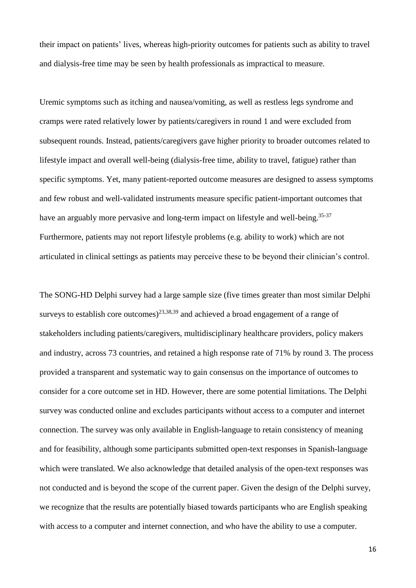their impact on patients' lives, whereas high-priority outcomes for patients such as ability to travel and dialysis-free time may be seen by health professionals as impractical to measure.

Uremic symptoms such as itching and nausea/vomiting, as well as restless legs syndrome and cramps were rated relatively lower by patients/caregivers in round 1 and were excluded from subsequent rounds. Instead, patients/caregivers gave higher priority to broader outcomes related to lifestyle impact and overall well-being (dialysis-free time, ability to travel, fatigue) rather than specific symptoms. Yet, many patient-reported outcome measures are designed to assess symptoms and few robust and well-validated instruments measure specific patient-important outcomes that have an arguably more pervasive and long-term impact on lifestyle and well-being.<sup>[35-37](#page-23-4)</sup> Furthermore, patients may not report lifestyle problems (e.g. ability to work) which are not articulated in clinical settings as patients may perceive these to be beyond their clinician's control.

The SONG-HD Delphi survey had a large sample size (five times greater than most similar Delphi surveys to establish core outcomes)<sup>[23,](#page-22-1)[38,](#page-23-5)[39](#page-23-6)</sup> and achieved a broad engagement of a range of stakeholders including patients/caregivers, multidisciplinary healthcare providers, policy makers and industry, across 73 countries, and retained a high response rate of 71% by round 3. The process provided a transparent and systematic way to gain consensus on the importance of outcomes to consider for a core outcome set in HD. However, there are some potential limitations. The Delphi survey was conducted online and excludes participants without access to a computer and internet connection. The survey was only available in English-language to retain consistency of meaning and for feasibility, although some participants submitted open-text responses in Spanish-language which were translated. We also acknowledge that detailed analysis of the open-text responses was not conducted and is beyond the scope of the current paper. Given the design of the Delphi survey, we recognize that the results are potentially biased towards participants who are English speaking with access to a computer and internet connection, and who have the ability to use a computer.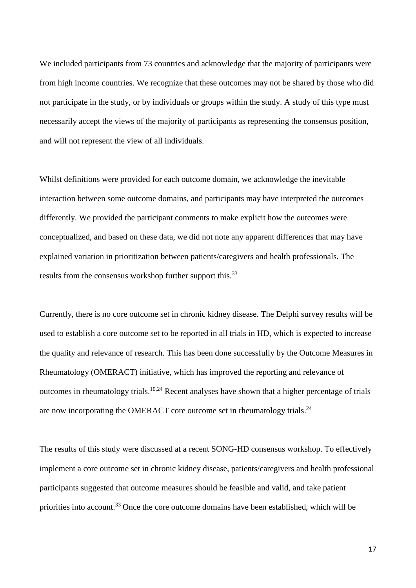We included participants from 73 countries and acknowledge that the majority of participants were from high income countries. We recognize that these outcomes may not be shared by those who did not participate in the study, or by individuals or groups within the study. A study of this type must necessarily accept the views of the majority of participants as representing the consensus position, and will not represent the view of all individuals.

Whilst definitions were provided for each outcome domain, we acknowledge the inevitable interaction between some outcome domains, and participants may have interpreted the outcomes differently. We provided the participant comments to make explicit how the outcomes were conceptualized, and based on these data, we did not note any apparent differences that may have explained variation in prioritization between patients/caregivers and health professionals. The results from the consensus workshop further support this.<sup>[33](#page-23-2)</sup>

Currently, there is no core outcome set in chronic kidney disease. The Delphi survey results will be used to establish a core outcome set to be reported in all trials in HD, which is expected to increase the quality and relevance of research. This has been done successfully by the Outcome Measures in Rheumatology (OMERACT) initiative, which has improved the reporting and relevance of outcomes in rheumatology trials.<sup>[10,](#page-20-5)[24](#page-22-2)</sup> Recent analyses have shown that a higher percentage of trials are now incorporating the OMERACT core outcome set in rheumatology trials.<sup>[24](#page-22-2)</sup>

The results of this study were discussed at a recent SONG-HD consensus workshop. To effectively implement a core outcome set in chronic kidney disease, patients/caregivers and health professional participants suggested that outcome measures should be feasible and valid, and take patient priorities into account.<sup>[33](#page-23-2)</sup> Once the core outcome domains have been established, which will be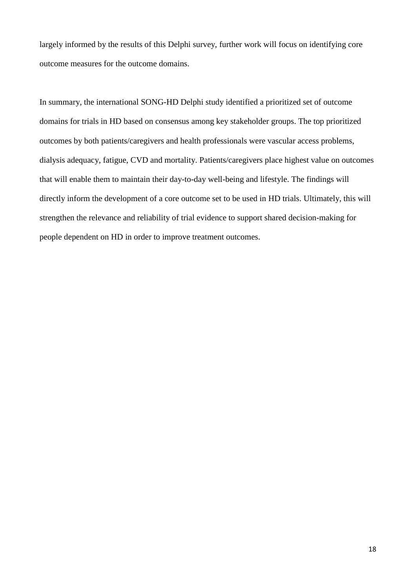largely informed by the results of this Delphi survey, further work will focus on identifying core outcome measures for the outcome domains.

In summary, the international SONG-HD Delphi study identified a prioritized set of outcome domains for trials in HD based on consensus among key stakeholder groups. The top prioritized outcomes by both patients/caregivers and health professionals were vascular access problems, dialysis adequacy, fatigue, CVD and mortality. Patients/caregivers place highest value on outcomes that will enable them to maintain their day-to-day well-being and lifestyle. The findings will directly inform the development of a core outcome set to be used in HD trials. Ultimately, this will strengthen the relevance and reliability of trial evidence to support shared decision-making for people dependent on HD in order to improve treatment outcomes.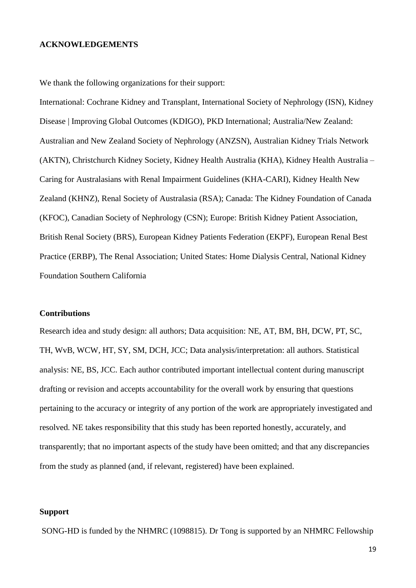#### **ACKNOWLEDGEMENTS**

We thank the following organizations for their support:

International: Cochrane Kidney and Transplant, International Society of Nephrology (ISN), Kidney Disease | Improving Global Outcomes (KDIGO), PKD International; Australia/New Zealand: Australian and New Zealand Society of Nephrology (ANZSN), Australian Kidney Trials Network (AKTN), Christchurch Kidney Society, Kidney Health Australia (KHA), Kidney Health Australia – Caring for Australasians with Renal Impairment Guidelines (KHA-CARI), Kidney Health New Zealand (KHNZ), Renal Society of Australasia (RSA); Canada: The Kidney Foundation of Canada (KFOC), Canadian Society of Nephrology (CSN); Europe: British Kidney Patient Association, British Renal Society (BRS), European Kidney Patients Federation (EKPF), European Renal Best Practice (ERBP), The Renal Association; United States: Home Dialysis Central, National Kidney Foundation Southern California

### **Contributions**

Research idea and study design: all authors; Data acquisition: NE, AT, BM, BH, DCW, PT, SC, TH, WvB, WCW, HT, SY, SM, DCH, JCC; Data analysis/interpretation: all authors. Statistical analysis: NE, BS, JCC. Each author contributed important intellectual content during manuscript drafting or revision and accepts accountability for the overall work by ensuring that questions pertaining to the accuracy or integrity of any portion of the work are appropriately investigated and resolved. NE takes responsibility that this study has been reported honestly, accurately, and transparently; that no important aspects of the study have been omitted; and that any discrepancies from the study as planned (and, if relevant, registered) have been explained.

#### **Support**

SONG-HD is funded by the NHMRC (1098815). Dr Tong is supported by an NHMRC Fellowship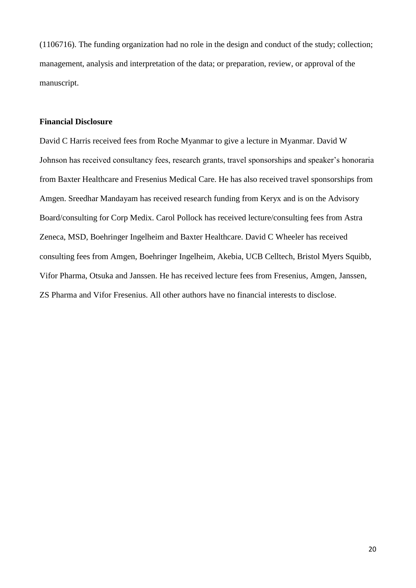(1106716). The funding organization had no role in the design and conduct of the study; collection; management, analysis and interpretation of the data; or preparation, review, or approval of the manuscript.

# **Financial Disclosure**

David C Harris received fees from Roche Myanmar to give a lecture in Myanmar. David W Johnson has received consultancy fees, research grants, travel sponsorships and speaker's honoraria from Baxter Healthcare and Fresenius Medical Care. He has also received travel sponsorships from Amgen. Sreedhar Mandayam has received research funding from Keryx and is on the Advisory Board/consulting for Corp Medix. Carol Pollock has received lecture/consulting fees from Astra Zeneca, MSD, Boehringer Ingelheim and Baxter Healthcare. David C Wheeler has received consulting fees from Amgen, Boehringer Ingelheim, Akebia, UCB Celltech, Bristol Myers Squibb, Vifor Pharma, Otsuka and Janssen. He has received lecture fees from Fresenius, Amgen, Janssen, ZS Pharma and Vifor Fresenius. All other authors have no financial interests to disclose.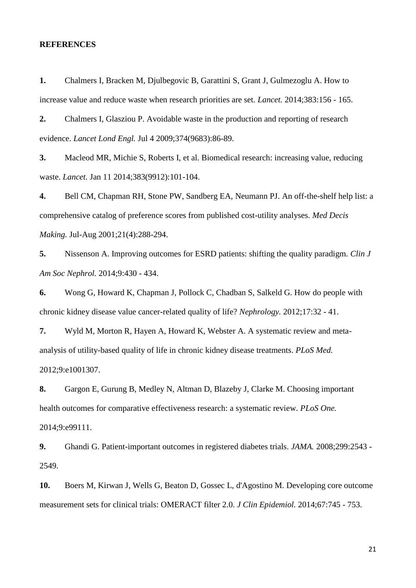### **REFERENCES**

<span id="page-20-0"></span>**1.** Chalmers I, Bracken M, Djulbegovic B, Garattini S, Grant J, Gulmezoglu A. How to increase value and reduce waste when research priorities are set. *Lancet.* 2014;383:156 - 165.

**2.** Chalmers I, Glasziou P. Avoidable waste in the production and reporting of research evidence. *Lancet Lond Engl.* Jul 4 2009;374(9683):86-89.

<span id="page-20-1"></span>**3.** Macleod MR, Michie S, Roberts I, et al. Biomedical research: increasing value, reducing waste. *Lancet.* Jan 11 2014;383(9912):101-104.

<span id="page-20-2"></span>**4.** Bell CM, Chapman RH, Stone PW, Sandberg EA, Neumann PJ. An off-the-shelf help list: a comprehensive catalog of preference scores from published cost-utility analyses. *Med Decis Making.* Jul-Aug 2001;21(4):288-294.

**5.** Nissenson A. Improving outcomes for ESRD patients: shifting the quality paradigm. *Clin J Am Soc Nephrol.* 2014;9:430 - 434.

**6.** Wong G, Howard K, Chapman J, Pollock C, Chadban S, Salkeld G. How do people with chronic kidney disease value cancer-related quality of life? *Nephrology.* 2012;17:32 - 41.

**7.** Wyld M, Morton R, Hayen A, Howard K, Webster A. A systematic review and metaanalysis of utility-based quality of life in chronic kidney disease treatments. *PLoS Med.*  2012;9:e1001307.

<span id="page-20-3"></span>**8.** Gargon E, Gurung B, Medley N, Altman D, Blazeby J, Clarke M. Choosing important health outcomes for comparative effectiveness research: a systematic review. *PLoS One.*  2014;9:e99111.

<span id="page-20-4"></span>**9.** Ghandi G. Patient-important outcomes in registered diabetes trials. *JAMA.* 2008;299:2543 - 2549.

<span id="page-20-5"></span>**10.** Boers M, Kirwan J, Wells G, Beaton D, Gossec L, d'Agostino M. Developing core outcome measurement sets for clinical trials: OMERACT filter 2.0. *J Clin Epidemiol.* 2014;67:745 - 753.

21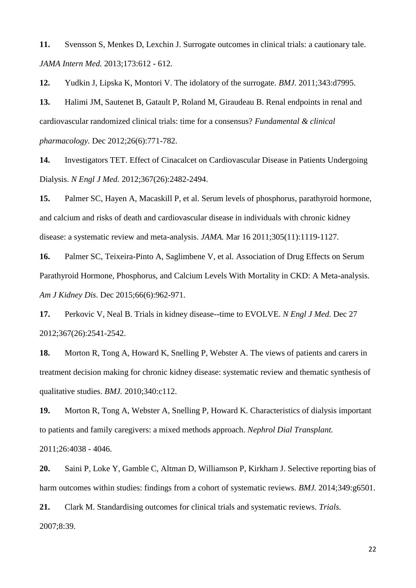<span id="page-21-0"></span>**11.** Svensson S, Menkes D, Lexchin J. Surrogate outcomes in clinical trials: a cautionary tale. *JAMA Intern Med.* 2013;173:612 - 612.

<span id="page-21-1"></span>**12.** Yudkin J, Lipska K, Montori V. The idolatory of the surrogate. *BMJ.* 2011;343:d7995.

<span id="page-21-2"></span>**13.** Halimi JM, Sautenet B, Gatault P, Roland M, Giraudeau B. Renal endpoints in renal and cardiovascular randomized clinical trials: time for a consensus? *Fundamental & clinical pharmacology.* Dec 2012;26(6):771-782.

**14.** Investigators TET. Effect of Cinacalcet on Cardiovascular Disease in Patients Undergoing Dialysis. *N Engl J Med.* 2012;367(26):2482-2494.

**15.** Palmer SC, Hayen A, Macaskill P, et al. Serum levels of phosphorus, parathyroid hormone, and calcium and risks of death and cardiovascular disease in individuals with chronic kidney disease: a systematic review and meta-analysis. *JAMA.* Mar 16 2011;305(11):1119-1127.

**16.** Palmer SC, Teixeira-Pinto A, Saglimbene V, et al. Association of Drug Effects on Serum Parathyroid Hormone, Phosphorus, and Calcium Levels With Mortality in CKD: A Meta-analysis. *Am J Kidney Dis.* Dec 2015;66(6):962-971.

**17.** Perkovic V, Neal B. Trials in kidney disease--time to EVOLVE. *N Engl J Med.* Dec 27 2012;367(26):2541-2542.

<span id="page-21-3"></span>**18.** Morton R, Tong A, Howard K, Snelling P, Webster A. The views of patients and carers in treatment decision making for chronic kidney disease: systematic review and thematic synthesis of qualitative studies. *BMJ.* 2010;340:c112.

<span id="page-21-4"></span>**19.** Morton R, Tong A, Webster A, Snelling P, Howard K. Characteristics of dialysis important to patients and family caregivers: a mixed methods approach. *Nephrol Dial Transplant.*  2011;26:4038 - 4046.

<span id="page-21-5"></span>**20.** Saini P, Loke Y, Gamble C, Altman D, Williamson P, Kirkham J. Selective reporting bias of harm outcomes within studies: findings from a cohort of systematic reviews. *BMJ.* 2014;349:g6501.

<span id="page-21-6"></span>**21.** Clark M. Standardising outcomes for clinical trials and systematic reviews. *Trials.*  2007;8:39.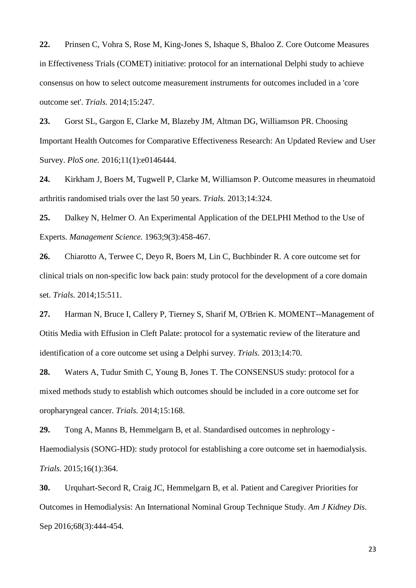<span id="page-22-0"></span>**22.** Prinsen C, Vohra S, Rose M, King-Jones S, Ishaque S, Bhaloo Z. Core Outcome Measures in Effectiveness Trials (COMET) initiative: protocol for an international Delphi study to achieve consensus on how to select outcome measurement instruments for outcomes included in a 'core outcome set'. *Trials.* 2014;15:247.

<span id="page-22-1"></span>**23.** Gorst SL, Gargon E, Clarke M, Blazeby JM, Altman DG, Williamson PR. Choosing Important Health Outcomes for Comparative Effectiveness Research: An Updated Review and User Survey. *PloS one.* 2016;11(1):e0146444.

<span id="page-22-2"></span>**24.** Kirkham J, Boers M, Tugwell P, Clarke M, Williamson P. Outcome measures in rheumatoid arthritis randomised trials over the last 50 years. *Trials.* 2013;14:324.

<span id="page-22-3"></span>**25.** Dalkey N, Helmer O. An Experimental Application of the DELPHI Method to the Use of Experts. *Management Science.* 1963;9(3):458-467.

<span id="page-22-4"></span>**26.** Chiarotto A, Terwee C, Deyo R, Boers M, Lin C, Buchbinder R. A core outcome set for clinical trials on non-specific low back pain: study protocol for the development of a core domain set. *Trials.* 2014;15:511.

**27.** Harman N, Bruce I, Callery P, Tierney S, Sharif M, O'Brien K. MOMENT--Management of Otitis Media with Effusion in Cleft Palate: protocol for a systematic review of the literature and identification of a core outcome set using a Delphi survey. *Trials.* 2013;14:70.

**28.** Waters A, Tudur Smith C, Young B, Jones T. The CONSENSUS study: protocol for a mixed methods study to establish which outcomes should be included in a core outcome set for oropharyngeal cancer. *Trials.* 2014;15:168.

<span id="page-22-5"></span>**29.** Tong A, Manns B, Hemmelgarn B, et al. Standardised outcomes in nephrology - Haemodialysis (SONG-HD): study protocol for establishing a core outcome set in haemodialysis. *Trials.* 2015;16(1):364.

<span id="page-22-6"></span>**30.** Urquhart-Secord R, Craig JC, Hemmelgarn B, et al. Patient and Caregiver Priorities for Outcomes in Hemodialysis: An International Nominal Group Technique Study. *Am J Kidney Dis.*  Sep 2016;68(3):444-454.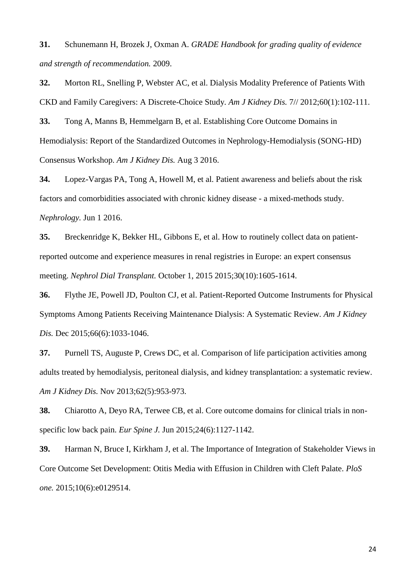<span id="page-23-0"></span>**31.** Schunemann H, Brozek J, Oxman A. *GRADE Handbook for grading quality of evidence and strength of recommendation.* 2009.

<span id="page-23-1"></span>**32.** Morton RL, Snelling P, Webster AC, et al. Dialysis Modality Preference of Patients With CKD and Family Caregivers: A Discrete-Choice Study. *Am J Kidney Dis.* 7// 2012;60(1):102-111.

<span id="page-23-2"></span>**33.** Tong A, Manns B, Hemmelgarn B, et al. Establishing Core Outcome Domains in Hemodialysis: Report of the Standardized Outcomes in Nephrology-Hemodialysis (SONG-HD) Consensus Workshop. *Am J Kidney Dis.* Aug 3 2016.

<span id="page-23-3"></span>**34.** Lopez-Vargas PA, Tong A, Howell M, et al. Patient awareness and beliefs about the risk factors and comorbidities associated with chronic kidney disease - a mixed-methods study. *Nephrology.* Jun 1 2016.

<span id="page-23-4"></span>**35.** Breckenridge K, Bekker HL, Gibbons E, et al. How to routinely collect data on patientreported outcome and experience measures in renal registries in Europe: an expert consensus meeting. *Nephrol Dial Transplant.* October 1, 2015 2015;30(10):1605-1614.

**36.** Flythe JE, Powell JD, Poulton CJ, et al. Patient-Reported Outcome Instruments for Physical Symptoms Among Patients Receiving Maintenance Dialysis: A Systematic Review. *Am J Kidney Dis.* Dec 2015;66(6):1033-1046.

**37.** Purnell TS, Auguste P, Crews DC, et al. Comparison of life participation activities among adults treated by hemodialysis, peritoneal dialysis, and kidney transplantation: a systematic review. *Am J Kidney Dis.* Nov 2013;62(5):953-973.

<span id="page-23-5"></span>**38.** Chiarotto A, Deyo RA, Terwee CB, et al. Core outcome domains for clinical trials in nonspecific low back pain. *Eur Spine J.* Jun 2015;24(6):1127-1142.

<span id="page-23-6"></span>**39.** Harman N, Bruce I, Kirkham J, et al. The Importance of Integration of Stakeholder Views in Core Outcome Set Development: Otitis Media with Effusion in Children with Cleft Palate. *PloS one.* 2015;10(6):e0129514.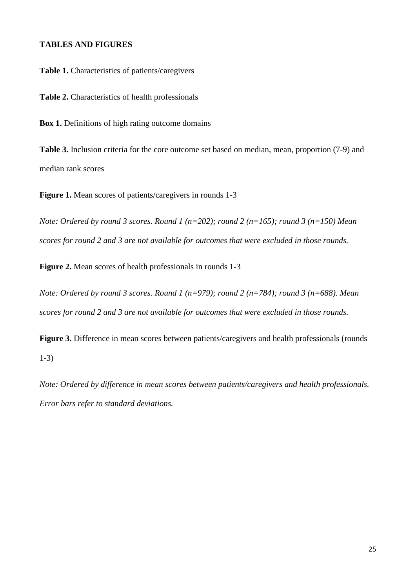## **TABLES AND FIGURES**

**Table 1.** Characteristics of patients/caregivers

**Table 2.** Characteristics of health professionals

**Box 1.** Definitions of high rating outcome domains

**Table 3.** Inclusion criteria for the core outcome set based on median, mean, proportion (7-9) and median rank scores

**Figure 1.** Mean scores of patients/caregivers in rounds 1-3

*Note: Ordered by round 3 scores. Round 1 (n=202); round 2 (n=165); round 3 (n=150) Mean scores for round 2 and 3 are not available for outcomes that were excluded in those rounds.*

**Figure 2.** Mean scores of health professionals in rounds 1-3

*Note: Ordered by round 3 scores. Round 1 (n=979); round 2 (n=784); round 3 (n=688). Mean scores for round 2 and 3 are not available for outcomes that were excluded in those rounds.*

**Figure 3.** Difference in mean scores between patients/caregivers and health professionals (rounds 1-3)

*Note: Ordered by difference in mean scores between patients/caregivers and health professionals. Error bars refer to standard deviations.*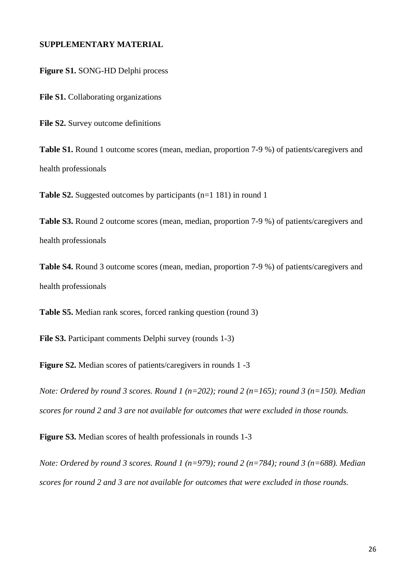# **SUPPLEMENTARY MATERIAL**

**Figure S1.** SONG-HD Delphi process

**File S1.** Collaborating organizations

File S2. Survey outcome definitions

**Table S1.** Round 1 outcome scores (mean, median, proportion 7-9 %) of patients/caregivers and health professionals

**Table S2.** Suggested outcomes by participants (n=1 181) in round 1

**Table S3.** Round 2 outcome scores (mean, median, proportion 7-9 %) of patients/caregivers and health professionals

**Table S4.** Round 3 outcome scores (mean, median, proportion 7-9 %) of patients/caregivers and health professionals

**Table S5.** Median rank scores, forced ranking question (round 3)

**File S3.** Participant comments Delphi survey (rounds 1-3)

**Figure S2.** Median scores of patients/caregivers in rounds 1 -3

*Note: Ordered by round 3 scores. Round 1 (n=202); round 2 (n=165); round 3 (n=150). Median scores for round 2 and 3 are not available for outcomes that were excluded in those rounds.*

**Figure S3.** Median scores of health professionals in rounds 1-3

*Note: Ordered by round 3 scores. Round 1 (n=979); round 2 (n=784); round 3 (n=688). Median scores for round 2 and 3 are not available for outcomes that were excluded in those rounds.*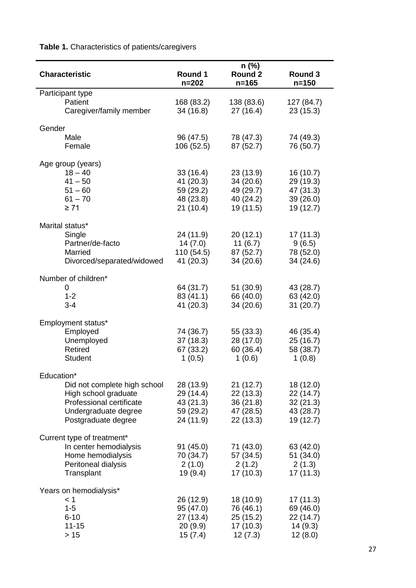**Table 1.** Characteristics of patients/caregivers

| <b>Characteristic</b>              | Round 1<br>$n = 202$    | $n$ (%)<br>Round 2<br>$n = 165$ | Round 3<br>$n = 150$   |  |
|------------------------------------|-------------------------|---------------------------------|------------------------|--|
| Participant type                   |                         |                                 |                        |  |
| Patient<br>Caregiver/family member | 168 (83.2)<br>34 (16.8) | 138 (83.6)<br>27(16.4)          | 127 (84.7)<br>23(15.3) |  |
| Gender                             |                         |                                 |                        |  |
| Male                               | 96 (47.5)               | 78 (47.3)                       | 74 (49.3)              |  |
| Female                             | 106 (52.5)              | 87 (52.7)                       | 76 (50.7)              |  |
|                                    |                         |                                 |                        |  |
| Age group (years)                  |                         |                                 |                        |  |
| $18 - 40$                          | 33(16.4)                | 23(13.9)                        | 16 (10.7)              |  |
| $41 - 50$                          | 41 (20.3)               | 34(20.6)                        | 29 (19.3)              |  |
| $51 - 60$                          | 59 (29.2)               | 49 (29.7)                       | 47 (31.3)              |  |
| $61 - 70$                          | 48 (23.8)               | 40 (24.2)                       | 39 (26.0)              |  |
| $\geq 71$                          | 21(10.4)                | 19 (11.5)                       | 19 (12.7)              |  |
| Marital status*                    |                         |                                 |                        |  |
| Single                             | 24 (11.9)               | 20(12.1)                        | 17 (11.3)              |  |
| Partner/de-facto                   | 14(7.0)                 | 11(6.7)                         | 9(6.5)                 |  |
| Married                            | 110 (54.5)              | 87 (52.7)                       | 78 (52.0)              |  |
| Divorced/separated/widowed         | 41 (20.3)               | 34 (20.6)                       | 34 (24.6)              |  |
|                                    |                         |                                 |                        |  |
| Number of children*                |                         |                                 |                        |  |
| 0                                  | 64 (31.7)               | 51(30.9)                        | 43 (28.7)              |  |
| $1 - 2$                            | 83 (41.1)               | 66 (40.0)                       | 63 (42.0)              |  |
| $3 - 4$                            | 41 (20.3)               | 34(20.6)                        | 31(20.7)               |  |
|                                    |                         |                                 |                        |  |
| Employment status*                 |                         |                                 |                        |  |
| Employed                           | 74 (36.7)               | 55 (33.3)                       | 46 (35.4)              |  |
| Unemployed                         | 37 (18.3)               | 28 (17.0)                       | 25(16.7)               |  |
| Retired                            | 67 (33.2)               | 60 (36.4)                       | 58 (38.7)              |  |
| <b>Student</b>                     | 1(0.5)                  | 1(0.6)                          | 1(0.8)                 |  |
| Education*                         |                         |                                 |                        |  |
| Did not complete high school       | 28 (13.9)               | 21(12.7)                        | 18 (12.0)              |  |
| High school graduate               | 29 (14.4)               | 22(13.3)                        | 22 (14.7)              |  |
| Professional certificate           | 43 (21.3)               | 36(21.8)                        | 32(21.3)               |  |
| Undergraduate degree               | 59 (29.2)               | 47 (28.5)                       | 43 (28.7)              |  |
| Postgraduate degree                | 24 (11.9)               | 22 (13.3)                       | 19 (12.7)              |  |
|                                    |                         |                                 |                        |  |
| Current type of treatment*         |                         |                                 |                        |  |
| In center hemodialysis             | 91(45.0)                | 71 (43.0)                       | 63 (42.0)              |  |
| Home hemodialysis                  | 70 (34.7)               | 57 (34.5)                       | 51 (34.0)              |  |
| Peritoneal dialysis                | 2(1.0)                  | 2(1.2)                          | 2(1.3)                 |  |
| Transplant                         | 19 (9.4)                | 17(10.3)                        | 17(11.3)               |  |
| Years on hemodialysis*             |                         |                                 |                        |  |
| < 1                                | 26 (12.9)               | 18 (10.9)                       | 17 (11.3)              |  |
| $1 - 5$                            | 95 (47.0)               | 76 (46.1)                       | 69 (46.0)              |  |
| $6 - 10$                           | 27 (13.4)               | 25 (15.2)                       | 22 (14.7)              |  |
| $11 - 15$                          | 20(9.9)                 | 17(10.3)                        | 14(9.3)                |  |
| $>15$                              | 15(7.4)                 | 12(7.3)                         | 12(8.0)                |  |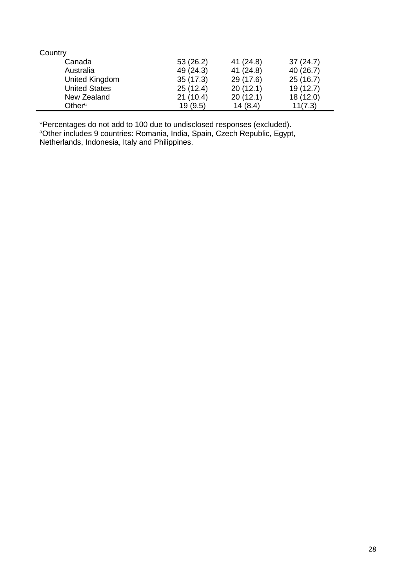| Country              |           |           |           |
|----------------------|-----------|-----------|-----------|
| Canada               | 53(26.2)  | 41 (24.8) | 37(24.7)  |
| Australia            | 49 (24.3) | 41 (24.8) | 40 (26.7) |
| United Kingdom       | 35(17.3)  | 29 (17.6) | 25(16.7)  |
| <b>United States</b> | 25(12.4)  | 20(12.1)  | 19(12.7)  |
| New Zealand          | 21(10.4)  | 20(12.1)  | 18 (12.0) |
| Other $a$            | 19(9.5)   | 14(8.4)   | 11(7.3)   |

\*Percentages do not add to 100 due to undisclosed responses (excluded). <sup>a</sup>Other includes 9 countries: Romania, India, Spain, Czech Republic, Egypt, Netherlands, Indonesia, Italy and Philippines.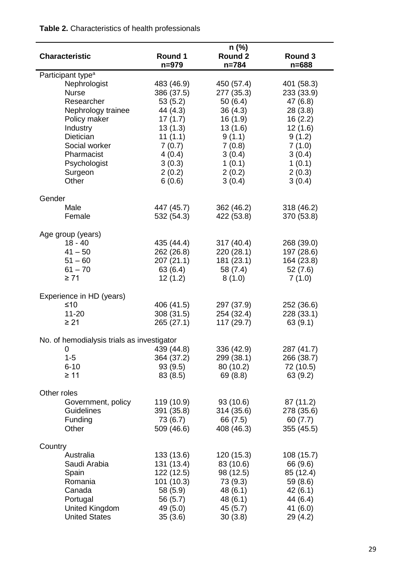### **Characteristic n (%) Round 1 n=979 Round 2 n=784 Round 3 n=688** Participant type<sup>a</sup> Nephrologist 483 (46.9) 450 (57.4) 401 (58.3) Nurse 386 (37.5) 277 (35.3) 233 (33.9) Researcher 53 (5.2) 50 (6.4) 47 (6.8) Nephrology trainee 44 (4.3) 36 (4.3) 28 (3.8) Policy maker 17 (1.7) 16 (1.9) 16 (2.2) Industry 13 (1.3) 13 (1.6) 12 (1.6) Dietician 11 (1.1) 9 (1.1) 9 (1.2) Social worker 7 (0.7) 7 (0.8) 7 (1.0) Pharmacist 4 (0.4) 3 (0.4) 3 (0.4) Psychologist 3 (0.3) 1 (0.1) 1 (0.1) Surgeon 2 (0.2) 2 (0.2) 2 (0.3) Other 6 (0.6) 3 (0.4) 3 (0.4) Gender Male 447 (45.7) 362 (46.2) 318 (46.2) Female 532 (54.3) 422 (53.8) 370 (53.8) Age group (years) 18 - 40 435 (44.4) 317 (40.4) 268 (39.0) 41 – 50 262 (26.8) 220 (28.1) 197 (28.6) 51 – 60 207 (21.1) 181 (23.1) 164 (23.8) 61 – 70 63 (6.4) 58 (7.4) 52 (7.6)  $≥ 71$  12 (1.2) 8 (1.0) 7 (1.0) Experience in HD (years)  $≤10$  406 (41.5) 297 (37.9) 252 (36.6) 11-20 308 (31.5) 254 (32.4) 228 (33.1)  $≥ 21$  265 (27.1) 117 (29.7) 63 (9.1) No. of hemodialysis trials as investigator 0 439 (44.8) 336 (42.9) 287 (41.7) 1-5 364 (37.2) 299 (38.1) 266 (38.7) 6-10 93 (9.5) 80 (10.2) 72 (10.5)  $\geq$  11 83 (8.5) 69 (8.8) 63 (9.2) Other roles Government, policy 119 (10.9) 93 (10.6) 87 (11.2) Guidelines 391 (35.8) 314 (35.6) 278 (35.6) Funding 73 (6.7) 66 (7.5) 60 (7.7) Other 509 (46.6) 408 (46.3) 355 (45.5) **Country** Australia 133 (13.6) 120 (15.3) 108 (15.7) Saudi Arabia 131 (13.4) 83 (10.6) 66 (9.6) Spain 122 (12.5) 98 (12.5) 85 (12.4) Romania 101 (10.3) 73 (9.3) 59 (8.6) Canada 58 (5.9) 48 (6.1) 42 (6.1) Portugal 56 (5.7) 48 (6.1) 44 (6.4)

United Kingdom 49 (5.0) 45 (5.7) 41 (6.0) United States 35 (3.6) 30 (3.8) 29 (4.2)

# **Table 2.** Characteristics of health professionals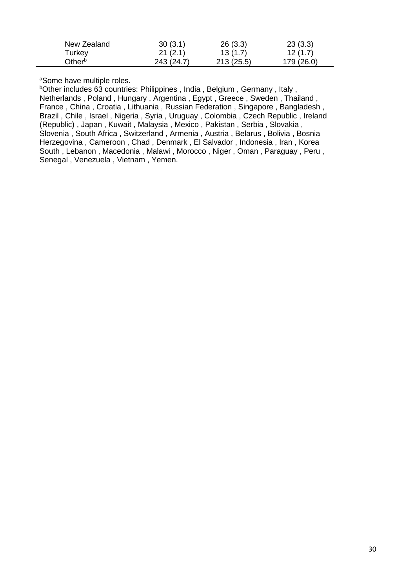| New Zealand | 30(3.1)    | 26(3.3)   | 23(3.3)    |
|-------------|------------|-----------|------------|
| Turkey      | 21(2.1)    | 13(1.7)   | 12(1.7)    |
| Otherº      | 243 (24.7) | 213(25.5) | 179 (26.0) |

aSome have multiple roles.

bOther includes 63 countries: Philippines, India, Belgium, Germany, Italy, Netherlands , Poland , Hungary , Argentina , Egypt , Greece , Sweden , Thailand , France , China , Croatia , Lithuania , Russian Federation , Singapore , Bangladesh , Brazil , Chile , Israel , Nigeria , Syria , Uruguay , Colombia , Czech Republic , Ireland (Republic) , Japan , Kuwait , Malaysia , Mexico , Pakistan , Serbia , Slovakia , Slovenia , South Africa , Switzerland , Armenia , Austria , Belarus , Bolivia , Bosnia Herzegovina , Cameroon , Chad , Denmark , El Salvador , Indonesia , Iran , Korea South , Lebanon , Macedonia , Malawi , Morocco , Niger , Oman , Paraguay , Peru , Senegal , Venezuela , Vietnam , Yemen.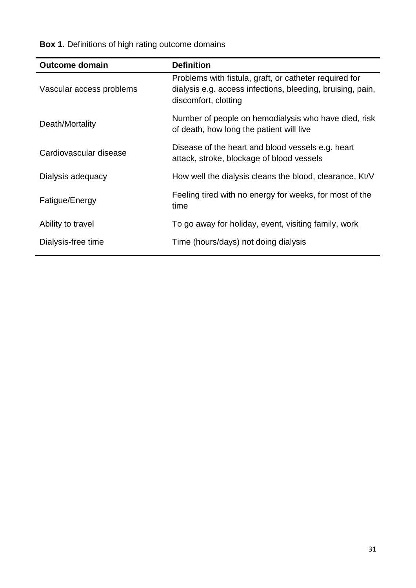**Box 1.** Definitions of high rating outcome domains

| <b>Outcome domain</b>    | <b>Definition</b>                                                                                                                            |
|--------------------------|----------------------------------------------------------------------------------------------------------------------------------------------|
| Vascular access problems | Problems with fistula, graft, or catheter required for<br>dialysis e.g. access infections, bleeding, bruising, pain,<br>discomfort, clotting |
| Death/Mortality          | Number of people on hemodialysis who have died, risk<br>of death, how long the patient will live                                             |
| Cardiovascular disease   | Disease of the heart and blood vessels e.g. heart<br>attack, stroke, blockage of blood vessels                                               |
| Dialysis adequacy        | How well the dialysis cleans the blood, clearance, Kt/V                                                                                      |
| Fatigue/Energy           | Feeling tired with no energy for weeks, for most of the<br>time                                                                              |
| Ability to travel        | To go away for holiday, event, visiting family, work                                                                                         |
| Dialysis-free time       | Time (hours/days) not doing dialysis                                                                                                         |